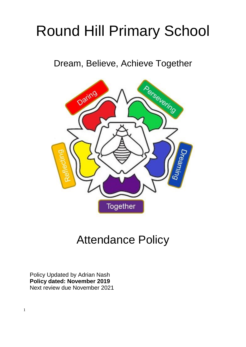# Round Hill Primary School

Dream, Believe, Achieve Together



# Attendance Policy

Policy Updated by Adrian Nash **Policy dated: November 2019** Next review due November 2021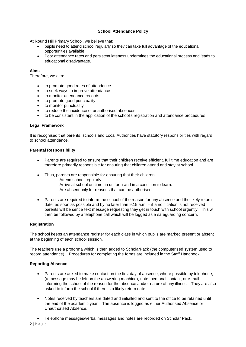# **School Attendance Policy**

At Round Hill Primary School, we believe that:

- pupils need to attend school regularly so they can take full advantage of the educational opportunities available
- Poor attendance rates and persistent lateness undermines the educational process and leads to educational disadvantage.

# **Aims**

Therefore, we aim:

- to promote good rates of attendance
- to seek ways to improve attendance
- to monitor attendance records
- to promote good punctuality
- to monitor punctuality
- to reduce the incidence of unauthorised absences
- to be consistent in the application of the school's registration and attendance procedures

# **Legal Framework**

It is recognised that parents, schools and Local Authorities have statutory responsibilities with regard to school attendance.

#### **Parental Responsibility**

- Parents are required to ensure that their children receive efficient, full time education and are therefore primarily responsible for ensuring that children attend and stay at school.
- Thus, parents are responsible for ensuring that their children: Attend school regularly. Arrive at school on time, in uniform and in a condition to learn. Are absent only for reasons that can be authorised.
- Parents are required to inform the school of the reason for any absence and the likely return date, as soon as possible and by no later than 9.15 a.m. – if a notification is not received parents will be sent a text message requesting they get in touch with school urgently. This will then be followed by a telephone call which will be logged as a safeguarding concern.

# **Registration**

The school keeps an attendance register for each class in which pupils are marked present or absent at the beginning of each school session.

The teachers use a proforma which is then added to ScholarPack (the computerised system used to record attendance). Procedures for completing the forms are included in the Staff Handbook.

# **Reporting Absence**

- Parents are asked to make contact on the first day of absence, where possible by telephone, (a message may be left on the answering machine), note, personal contact, or e-mail informing the school of the reason for the absence and/or nature of any illness. They are also asked to inform the school if there is a likely return date.
- Notes received by teachers are dated and initialled and sent to the office to be retained until the end of the academic year. The absence is logged as either Authorised Absence or Unauthorised Absence.
- Telephone messages/verbal messages and notes are recorded on Scholar Pack.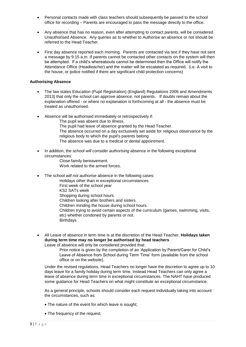- Personal contacts made with class teachers should subsequently be passed to the school office for recording – Parents are encouraged to pass the message directly to the office.
- Any absence that has no reason, even after attempting to contact parents, will be considered Unauthorised Absence. Any queries as to whether to Authorise an absence or not should be referred to the Head Teacher.
- First day absence reported each morning. Parents are contacted via text if they have not sent a message by 9:15 a.m. If parents cannot be contacted other contacts on the system will then be attempted. If a child's whereabouts cannot be determined then the Office will notify the Attendance Office (Headteacher) and the matter will be escalated as required. (i.e. A visit to the house, or police notified if there are significant child protection concerns)

# **Authorising Absence**

- The law states Education (Pupil Registration) (England) Regulations 2006 and Amendments 2013) that only the school can approve absence, not parents. If doubts remain about the explanation offered - or where no explanation is forthcoming at all - the absence must be treated as unauthorised.
- Absence will be authorised immediately or retrospectively if:
	- The pupil was absent due to illness.
	- The pupil had leave of absence granted by the Head Teacher.
	- The absence occurred on a day exclusively set aside for religious observance by the religious body to which the pupil's parents belong
	- The absence was due to a medical or dental appointment.
- In addition, the school *will consider authorising* absence in the following exceptional circumstances:
	- Close family bereavement. Work related to the armed forces.
- The school *will not authorise* absence in the following cases:
	- Holidays other than in exceptional circumstances First week of the school year
		- KS2 SATs week Shopping during school hours. Children looking after brothers and sisters
		- Children minding the house during school hours.
		- Children trying to avoid certain aspects of the curriculum (games, swimming, visits, etc) whether condoned by parents or not.
		- **Birthdays**
- All Leave of absence in term time is at the discretion of the Head Teacher. **Holidays taken during term time may no longer be authorised by head teachers**.

Leave of absence will only be considered provided that:

Prior notice is given by the completion of an 'Application by Parent/Carer for Child's Leave of Absence from School during Term Time' form (available from the school office or on the website).

Under the revised regulations, Head Teachers no longer have the discretion to agree up to 10 days leave for a family holiday during term time. Instead Head Teachers can only agree a leave of absence during term time in exceptional circumstances. The NAHT have produced some guidance for Head Teachers on what might constitute an exceptional circumstance.

As a general principle, schools should consider each request individually taking into account the circumstances, such as:

- The nature of the event for which leave is sought;
- The frequency of the request;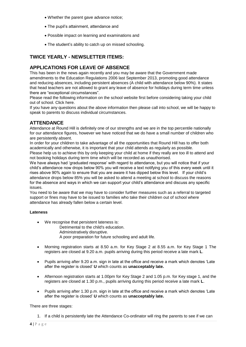- Whether the parent gave advance notice;
- The pupil's attainment, attendance and
- Possible impact on learning and examinations and
- The student's ability to catch up on missed schooling.

# **TWICE YEARLY - NEWSLETTER ITEMS:**

# **APPLICATIONS FOR LEAVE OF ABSENCE**

This has been in the news again recently and you may be aware that the Government made amendments to the Education Regulations 2006 last September 2013, promoting good attendance and reducing absences, including persistent absences (A child with attendance below 90%). It states that head teachers are not allowed to grant any leave of absence for holidays during term time unless there are "exceptional circumstances".

Please read the following information on the school website first before considering taking your child out of school. Click here.

If you have any questions about the above information then please call into school, we will be happy to speak to parents to discuss individual circumstances.

# **ATTENDANCE**

Attendance at Round Hill is definitely one of our strengths and we are in the top percentile nationally for our attendance figures, however we have noticed that we do have a small number of children who are persistently absent.

In order for your children to take advantage of all the opportunities that Round Hill has to offer both academically and otherwise, it is important that your child attends as regularly as possible. Please help us to achieve this by only keeping your child at home if they really are too ill to attend and

not booking holidays during term time which will be recorded as unauthorised.

We have always had 'graduated response' with regard to attendance, but you will notice that if your child's attendance now drops below 90% you will receive a text notifying you of this every week until it rises above 90% again to ensure that you are aware it has dipped below this level. If your child's attendance drops below 85% you will be asked to attend a meeting at school to discuss the reasons for the absence and ways in which we can support your child's attendance and discuss any specific issues.

You need to be aware that we may have to consider further measures such as a referral to targeted support or fines may have to be issued to families who take their children out of school where attendance has already fallen below a certain level.

# **Lateness**

- We recognise that persistent lateness is: Detrimental to the child's education. Administratively disruptive. A poor preparation for future schooling and adult life.
- Morning registration starts at 8.50 a.m. for Key Stage 2 at 8.55 a.m. for Key Stage 1 The registers are closed at 9.20 a.m. pupils arriving during this period receive a late mark **L**.
- Pupils arriving after 9.20 a.m. sign in late at the office and receive a mark which denotes 'Late after the register is closed' **U** which counts as **unacceptably late.**
- Afternoon registration starts at 1.00pm for Key Stage 2 and 1.05 p.m. for Key stage 1, and the registers are closed at 1.30 p.m., pupils arriving during this period receive a late mark **L**.
- Pupils arriving after 1.30 p.m. sign in late at the office and receive a mark which denotes 'Late after the register is closed' **U** which counts as **unacceptably late.**

There are three stages:

1. If a child is persistently late the Attendance Co-ordinator will ring the parents to see if we can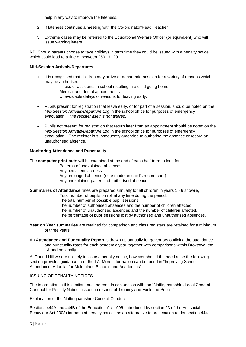help in any way to improve the lateness.

- 2. If lateness continues a meeting with the Co-ordinator/Head Teacher
- 3. Extreme cases may be referred to the Educational Welfare Officer (or equivalent) who will issue warning letters.

NB: Should parents choose to take holidays in term time they could be issued with a penalty notice which could lead to a fine of between £60 - £120.

#### **Mid-Session Arrivals/Departures**

 It is recognised that children may arrive or depart mid-session for a variety of reasons which may be authorised:

> Illness or accidents in school resulting in a child going home. Medical and dental appointments. Unavoidable delays or reasons for leaving early.

- Pupils present for registration that leave early, or for part of a session, should be noted on the *Mid-Session Arrivals/Departure Log* in the school office for purposes of emergency evacuation. *The register itself is not altered.*
- Pupils not present for registration that return later from an appointment should be noted on the *Mid-Session Arrivals/Departure Log* in the school office for purposes of emergency evacuation. The register is subsequently amended to authorise the absence or record an unauthorised absence.

#### **Monitoring Attendance and Punctuality**

The **computer print-outs** will be examined at the end of each half-term to look for:

- Patterns of unexplained absences.
- Any persistent lateness.
- Any prolonged absence (note made on child's record card).

Any unexplained patterns of authorised absence.

# **Summaries of Attendance** rates are prepared annually for all children in years 1 - 6 showing:

Total number of pupils on roll at any time during the period.

The total number of possible pupil sessions.

- The number of authorised absences and the number of children affected.
- The number of unauthorised absences and the number of children affected.
- The percentage of pupil sessions lost by authorised and unauthorised absences.
- **Year on Year summaries** are retained for comparison and class registers are retained for a minimum of three years.
- An **Attendance and Punctuality Report** is drawn up annually for governors outlining the attendance and punctuality rates for each academic year together with comparisons within Broxtowe, the LA and nationally.

At Round Hill we are unlikely to issue a penalty notice, however should the need arise the following section provides guidance from the LA. More information can be found in "Improving School Attendance. A toolkit for Maintained Schools and Academies"

# ISSUING OF PENALTY NOTICES

The information in this section must be read in conjunction with the "Nottinghamshire Local Code of Conduct for Penalty Notices issued in respect of Truancy and Excluded Pupils."

Explanation of the Nottinghamshire Code of Conduct

Sections 444A and 444B of the Education Act 1996 (introduced by section 23 of the Antisocial Behaviour Act 2003) introduced penalty notices as an alternative to prosecution under section 444.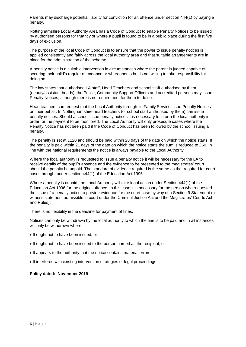Parents may discharge potential liability for conviction for an offence under section 444(1) by paying a penalty.

Nottinghamshire Local Authority Area has a Code of Conduct to enable Penalty Notices to be issued by authorised persons for truancy or where a pupil is found to be in a public place during the first five days of exclusion.

The purpose of the local Code of Conduct is to ensure that the power to issue penalty notices is applied consistently and fairly across the local authority area and that suitable arrangements are in place for the administration of the scheme.

A penalty notice is a suitable intervention in circumstances where the parent is judged capable of securing their child's regular attendance or whereabouts but is not willing to take responsibility for doing so.

The law states that authorised LA staff, Head Teachers and school staff authorised by them (deputy/assistant heads), the Police, Community Support Officers and accredited persons may issue Penalty Notices, although there is no requirement for them to do so.

Head teachers can request that the Local Authority through its Family Service issue Penalty Notices on their behalf. In Nottinghamshire head teachers (or school staff authorised by them) can issue penalty notices. Should a school issue penalty notices it is necessary to inform the local authority in order for the payment to be monitored. The Local Authority will only prosecute cases where the Penalty Notice has not been paid if the Code of Conduct has been followed by the school issuing a penalty.

The penalty is set at £120 and should be paid within 28 days of the date on which the notice starts. If the penalty is paid within 21 days of the date on which the notice starts the sum is reduced to £60. In line with the national requirements the notice is always payable to the Local Authority.

Where the local authority is requested to issue a penalty notice it will be necessary for the LA to receive details of the pupil's absence and the evidence to be presented to the magistrates' court should the penalty be unpaid. The standard of evidence required is the same as that required for court cases brought under section 444(1) of the Education Act 1996.

Where a penalty is unpaid, the Local Authority will take legal action under Section 444(1) of the Education Act 1996 for the original offence. In this case it is necessary for the person who requested the issue of a penalty notice to provide evidence for the court case by way of a Section 9 Statement (a witness statement admissible in court under the Criminal Justice Act and the Magistrates' Courts Act and Rules).

There is no flexibility in the deadline for payment of fines.

Notices can only be withdrawn by the local authority to which the fine is to be paid and in all instances will only be withdrawn where:

- It ought not to have been issued; or
- It ought not to have been issued to the person named as the recipient; or
- It appears to the authority that the notice contains material errors,
- It interferes with existing intervention strategies or legal proceedings

# **Policy dated: November 2019**